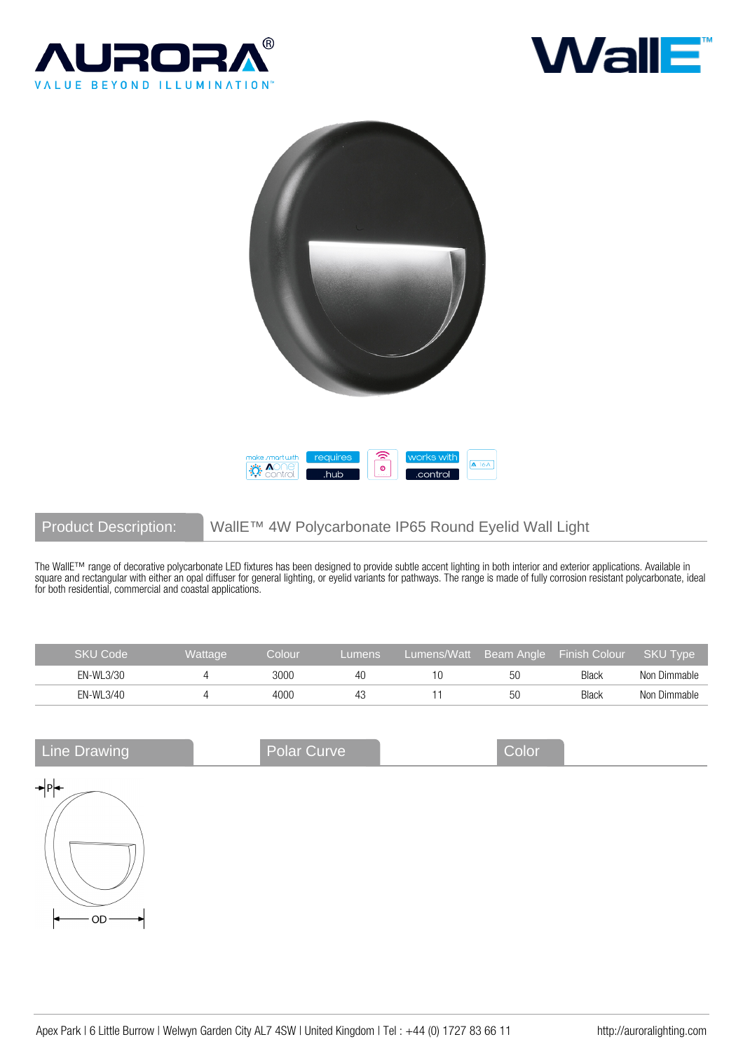





# Product Description: WallE™ 4W Polycarbonate IP65 Round Eyelid Wall Light

The WallE™ range of decorative polycarbonate LED fixtures has been designed to provide subtle accent lighting in both interior and exterior applications. Available in square and rectangular with either an opal diffuser for general lighting, or eyelid variants for pathways. The range is made of fully corrosion resistant polycarbonate, ideal for both residential, commercial and coastal applications.

| SKU Code  | <b>Wattage</b> | Colour | Lumens | Lumens/Watt |    | Beam Angle Finish Colour | <b>SKU Type</b> |
|-----------|----------------|--------|--------|-------------|----|--------------------------|-----------------|
| EN-WL3/30 |                | 3000   | 40     |             | 50 | <b>Black</b>             | Non Dimmable    |
| EN-WL3/40 |                | 4000   | 43     |             | 50 | <b>Black</b>             | Non Dimmable    |

| <b>Line Drawing</b> | Polar Curve | Color |  |
|---------------------|-------------|-------|--|
| →Pl<br>OD-          |             |       |  |